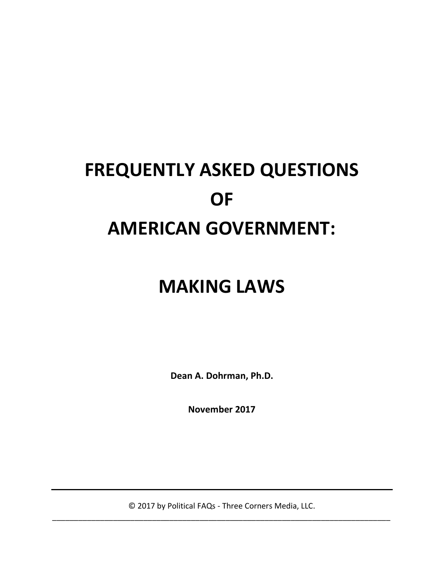# **FREQUENTLY ASKED QUESTIONS OF AMERICAN GOVERNMENT:**

## **MAKING LAWS**

**Dean A. Dohrman, Ph.D.**

**November 2017**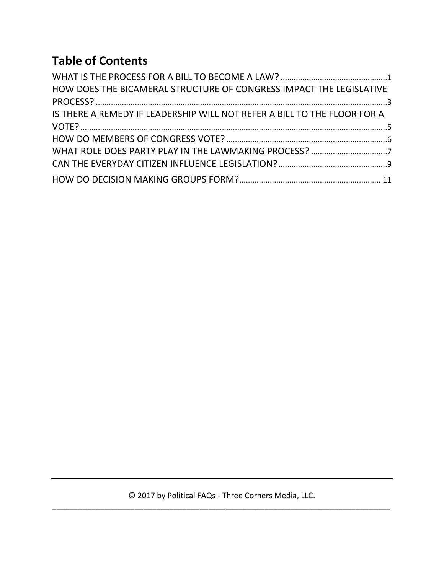### **Table of Contents**

| HOW DOES THE BICAMERAL STRUCTURE OF CONGRESS IMPACT THE LEGISLATIVE      |  |
|--------------------------------------------------------------------------|--|
|                                                                          |  |
| IS THERE A REMEDY IF LEADERSHIP WILL NOT REFER A BILL TO THE FLOOR FOR A |  |
|                                                                          |  |
|                                                                          |  |
|                                                                          |  |
|                                                                          |  |
|                                                                          |  |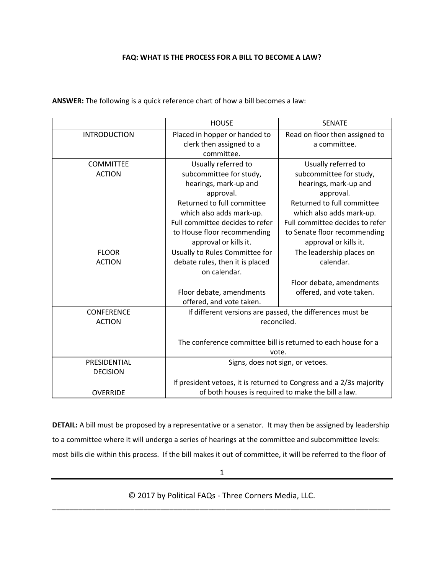#### **FAQ: WHAT IS THE PROCESS FOR A BILL TO BECOME A LAW?**

**ANSWER:** The following is a quick reference chart of how a bill becomes a law:

|                     | <b>HOUSE</b>                                                        | <b>SENATE</b>                   |  |
|---------------------|---------------------------------------------------------------------|---------------------------------|--|
| <b>INTRODUCTION</b> | Placed in hopper or handed to                                       | Read on floor then assigned to  |  |
|                     | clerk then assigned to a                                            | a committee.                    |  |
|                     | committee.                                                          |                                 |  |
| <b>COMMITTEE</b>    | Usually referred to                                                 | Usually referred to             |  |
| <b>ACTION</b>       | subcommittee for study,                                             | subcommittee for study,         |  |
|                     | hearings, mark-up and                                               | hearings, mark-up and           |  |
|                     | approval.                                                           | approval.                       |  |
|                     | Returned to full committee                                          | Returned to full committee      |  |
|                     | which also adds mark-up.                                            | which also adds mark-up.        |  |
|                     | Full committee decides to refer                                     | Full committee decides to refer |  |
|                     | to House floor recommending                                         | to Senate floor recommending    |  |
|                     | approval or kills it.                                               | approval or kills it.           |  |
| <b>FLOOR</b>        | Usually to Rules Committee for                                      | The leadership places on        |  |
| <b>ACTION</b>       | debate rules, then it is placed                                     | calendar.                       |  |
|                     | on calendar.                                                        |                                 |  |
|                     |                                                                     | Floor debate, amendments        |  |
|                     | Floor debate, amendments                                            | offered, and vote taken.        |  |
|                     | offered, and vote taken.                                            |                                 |  |
| <b>CONFERENCE</b>   | If different versions are passed, the differences must be           |                                 |  |
| <b>ACTION</b>       | reconciled.                                                         |                                 |  |
|                     |                                                                     |                                 |  |
|                     | The conference committee bill is returned to each house for a       |                                 |  |
|                     | vote.                                                               |                                 |  |
| PRESIDENTIAL        | Signs, does not sign, or vetoes.                                    |                                 |  |
| <b>DECISION</b>     |                                                                     |                                 |  |
|                     | If president vetoes, it is returned to Congress and a 2/3s majority |                                 |  |
| <b>OVERRIDE</b>     | of both houses is required to make the bill a law.                  |                                 |  |

**DETAIL:** A bill must be proposed by a representative or a senator. It may then be assigned by leadership to a committee where it will undergo a series of hearings at the committee and subcommittee levels: most bills die within this process. If the bill makes it out of committee, it will be referred to the floor of

1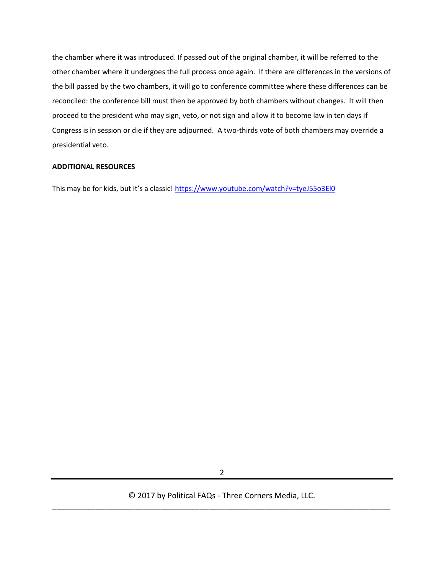the chamber where it was introduced. If passed out of the original chamber, it will be referred to the other chamber where it undergoes the full process once again. If there are differences in the versions of the bill passed by the two chambers, it will go to conference committee where these differences can be reconciled: the conference bill must then be approved by both chambers without changes. It will then proceed to the president who may sign, veto, or not sign and allow it to become law in ten days if Congress is in session or die if they are adjourned. A two-thirds vote of both chambers may override a presidential veto.

#### **ADDITIONAL RESOURCES**

This may be for kids, but it's a classic! <https://www.youtube.com/watch?v=tyeJ55o3El0>

2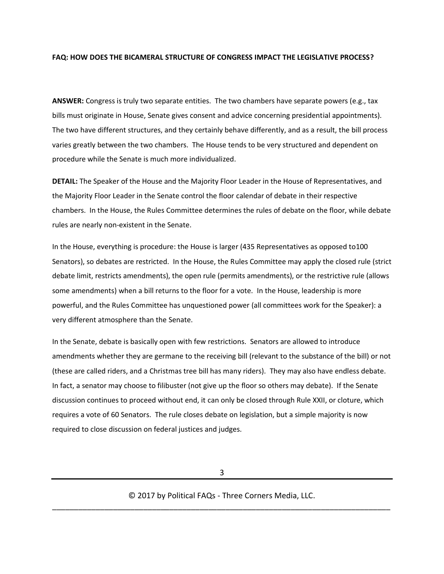#### **FAQ: HOW DOES THE BICAMERAL STRUCTURE OF CONGRESS IMPACT THE LEGISLATIVE PROCESS?**

**ANSWER:** Congress is truly two separate entities. The two chambers have separate powers (e.g., tax bills must originate in House, Senate gives consent and advice concerning presidential appointments). The two have different structures, and they certainly behave differently, and as a result, the bill process varies greatly between the two chambers. The House tends to be very structured and dependent on procedure while the Senate is much more individualized.

**DETAIL:** The Speaker of the House and the Majority Floor Leader in the House of Representatives, and the Majority Floor Leader in the Senate control the floor calendar of debate in their respective chambers. In the House, the Rules Committee determines the rules of debate on the floor, while debate rules are nearly non-existent in the Senate.

In the House, everything is procedure: the House is larger (435 Representatives as opposed to100 Senators), so debates are restricted. In the House, the Rules Committee may apply the closed rule (strict debate limit, restricts amendments), the open rule (permits amendments), or the restrictive rule (allows some amendments) when a bill returns to the floor for a vote. In the House, leadership is more powerful, and the Rules Committee has unquestioned power (all committees work for the Speaker): a very different atmosphere than the Senate.

In the Senate, debate is basically open with few restrictions. Senators are allowed to introduce amendments whether they are germane to the receiving bill (relevant to the substance of the bill) or not (these are called riders, and a Christmas tree bill has many riders). They may also have endless debate. In fact, a senator may choose to filibuster (not give up the floor so others may debate). If the Senate discussion continues to proceed without end, it can only be closed through Rule XXII, or cloture, which requires a vote of 60 Senators. The rule closes debate on legislation, but a simple majority is now required to close discussion on federal justices and judges.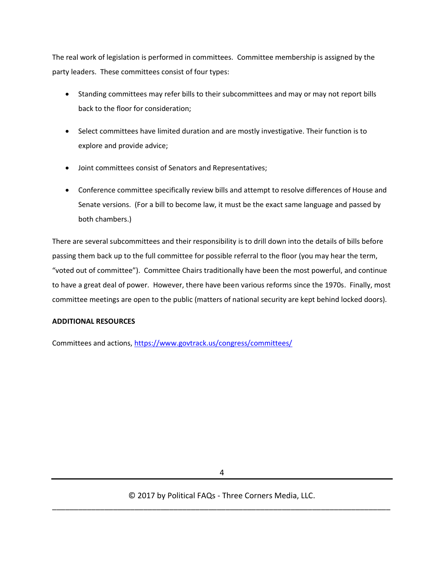The real work of legislation is performed in committees. Committee membership is assigned by the party leaders. These committees consist of four types:

- Standing committees may refer bills to their subcommittees and may or may not report bills back to the floor for consideration;
- Select committees have limited duration and are mostly investigative. Their function is to explore and provide advice;
- Joint committees consist of Senators and Representatives;
- Conference committee specifically review bills and attempt to resolve differences of House and Senate versions. (For a bill to become law, it must be the exact same language and passed by both chambers.)

There are several subcommittees and their responsibility is to drill down into the details of bills before passing them back up to the full committee for possible referral to the floor (you may hear the term, "voted out of committee"). Committee Chairs traditionally have been the most powerful, and continue to have a great deal of power. However, there have been various reforms since the 1970s. Finally, most committee meetings are open to the public (matters of national security are kept behind locked doors).

#### **ADDITIONAL RESOURCES**

Committees and actions,<https://www.govtrack.us/congress/committees/>

4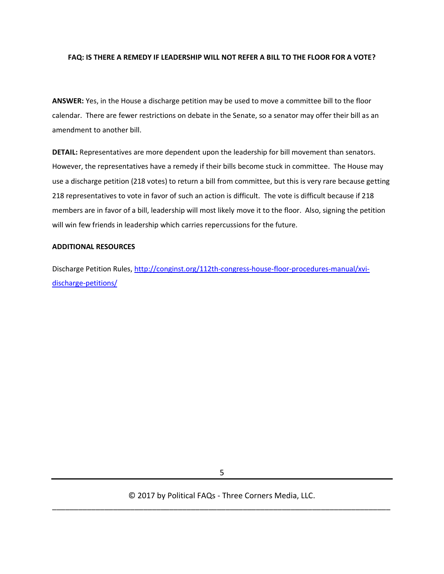#### **FAQ: IS THERE A REMEDY IF LEADERSHIP WILL NOT REFER A BILL TO THE FLOOR FOR A VOTE?**

**ANSWER:** Yes, in the House a discharge petition may be used to move a committee bill to the floor calendar. There are fewer restrictions on debate in the Senate, so a senator may offer their bill as an amendment to another bill.

**DETAIL:** Representatives are more dependent upon the leadership for bill movement than senators. However, the representatives have a remedy if their bills become stuck in committee. The House may use a discharge petition (218 votes) to return a bill from committee, but this is very rare because getting 218 representatives to vote in favor of such an action is difficult. The vote is difficult because if 218 members are in favor of a bill, leadership will most likely move it to the floor. Also, signing the petition will win few friends in leadership which carries repercussions for the future.

#### **ADDITIONAL RESOURCES**

Discharge Petition Rules, [http://conginst.org/112th-congress-house-floor-procedures-manual/xvi](http://conginst.org/112th-congress-house-floor-procedures-manual/xvi-discharge-petitions/)[discharge-petitions/](http://conginst.org/112th-congress-house-floor-procedures-manual/xvi-discharge-petitions/)

5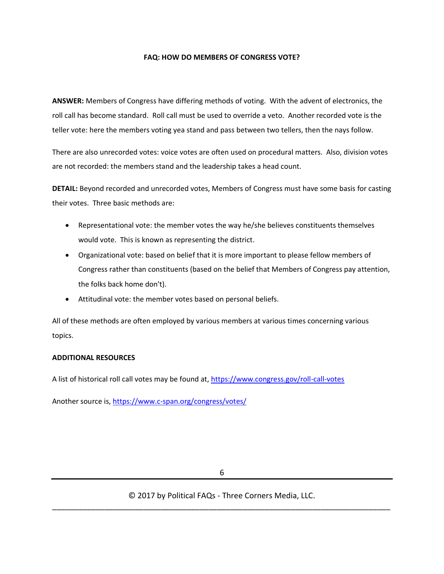#### **FAQ: HOW DO MEMBERS OF CONGRESS VOTE?**

**ANSWER:** Members of Congress have differing methods of voting. With the advent of electronics, the roll call has become standard. Roll call must be used to override a veto. Another recorded vote is the teller vote: here the members voting yea stand and pass between two tellers, then the nays follow.

There are also unrecorded votes: voice votes are often used on procedural matters. Also, division votes are not recorded: the members stand and the leadership takes a head count.

**DETAIL:** Beyond recorded and unrecorded votes, Members of Congress must have some basis for casting their votes. Three basic methods are:

- Representational vote: the member votes the way he/she believes constituents themselves would vote. This is known as representing the district.
- Organizational vote: based on belief that it is more important to please fellow members of Congress rather than constituents (based on the belief that Members of Congress pay attention, the folks back home don't).
- Attitudinal vote: the member votes based on personal beliefs.

All of these methods are often employed by various members at various times concerning various topics.

#### **ADDITIONAL RESOURCES**

A list of historical roll call votes may be found at,<https://www.congress.gov/roll-call-votes>

Another source is,<https://www.c-span.org/congress/votes/>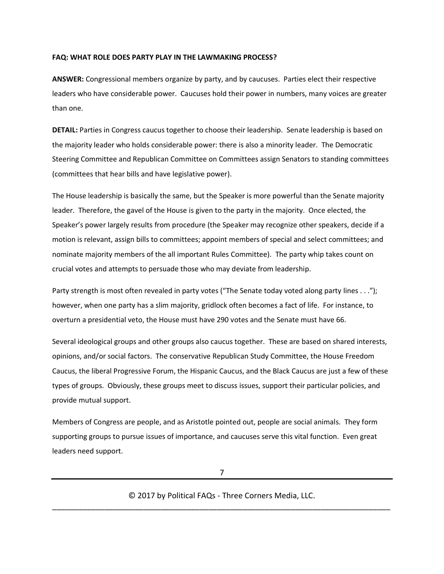#### **FAQ: WHAT ROLE DOES PARTY PLAY IN THE LAWMAKING PROCESS?**

**ANSWER:** Congressional members organize by party, and by caucuses. Parties elect their respective leaders who have considerable power. Caucuses hold their power in numbers, many voices are greater than one.

**DETAIL:** Parties in Congress caucus together to choose their leadership. Senate leadership is based on the majority leader who holds considerable power: there is also a minority leader. The Democratic Steering Committee and Republican Committee on Committees assign Senators to standing committees (committees that hear bills and have legislative power).

The House leadership is basically the same, but the Speaker is more powerful than the Senate majority leader. Therefore, the gavel of the House is given to the party in the majority. Once elected, the Speaker's power largely results from procedure (the Speaker may recognize other speakers, decide if a motion is relevant, assign bills to committees; appoint members of special and select committees; and nominate majority members of the all important Rules Committee). The party whip takes count on crucial votes and attempts to persuade those who may deviate from leadership.

Party strength is most often revealed in party votes ("The Senate today voted along party lines . . ."); however, when one party has a slim majority, gridlock often becomes a fact of life. For instance, to overturn a presidential veto, the House must have 290 votes and the Senate must have 66.

Several ideological groups and other groups also caucus together. These are based on shared interests, opinions, and/or social factors. The conservative Republican Study Committee, the House Freedom Caucus, the liberal Progressive Forum, the Hispanic Caucus, and the Black Caucus are just a few of these types of groups. Obviously, these groups meet to discuss issues, support their particular policies, and provide mutual support.

Members of Congress are people, and as Aristotle pointed out, people are social animals. They form supporting groups to pursue issues of importance, and caucuses serve this vital function. Even great leaders need support.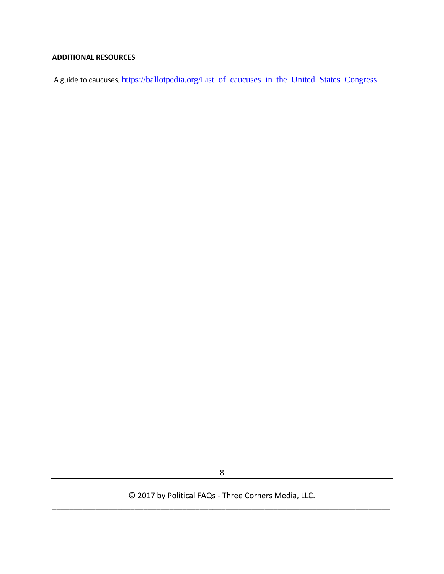#### **ADDITIONAL RESOURCES**

A guide to caucuses, [https://ballotpedia.org/List\\_of\\_caucuses\\_in\\_the\\_United\\_States\\_Congress](https://ballotpedia.org/List_of_caucuses_in_the_United_States_Congress)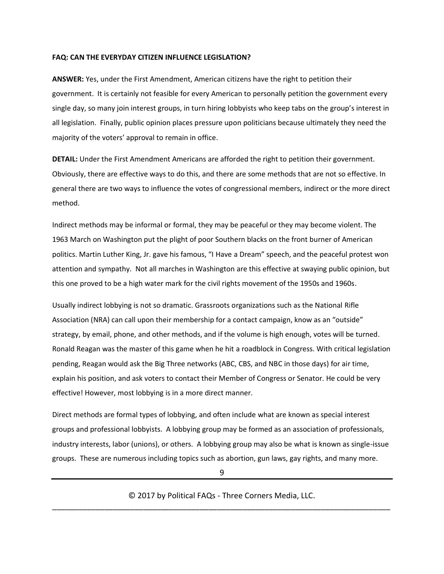#### **FAQ: CAN THE EVERYDAY CITIZEN INFLUENCE LEGISLATION?**

**ANSWER:** Yes, under the First Amendment, American citizens have the right to petition their government. It is certainly not feasible for every American to personally petition the government every single day, so many join interest groups, in turn hiring lobbyists who keep tabs on the group's interest in all legislation. Finally, public opinion places pressure upon politicians because ultimately they need the majority of the voters' approval to remain in office.

**DETAIL:** Under the First Amendment Americans are afforded the right to petition their government. Obviously, there are effective ways to do this, and there are some methods that are not so effective. In general there are two ways to influence the votes of congressional members, indirect or the more direct method.

Indirect methods may be informal or formal, they may be peaceful or they may become violent. The 1963 March on Washington put the plight of poor Southern blacks on the front burner of American politics. Martin Luther King, Jr. gave his famous, "I Have a Dream" speech, and the peaceful protest won attention and sympathy. Not all marches in Washington are this effective at swaying public opinion, but this one proved to be a high water mark for the civil rights movement of the 1950s and 1960s.

Usually indirect lobbying is not so dramatic. Grassroots organizations such as the National Rifle Association (NRA) can call upon their membership for a contact campaign, know as an "outside" strategy, by email, phone, and other methods, and if the volume is high enough, votes will be turned. Ronald Reagan was the master of this game when he hit a roadblock in Congress. With critical legislation pending, Reagan would ask the Big Three networks (ABC, CBS, and NBC in those days) for air time, explain his position, and ask voters to contact their Member of Congress or Senator. He could be very effective! However, most lobbying is in a more direct manner.

Direct methods are formal types of lobbying, and often include what are known as special interest groups and professional lobbyists. A lobbying group may be formed as an association of professionals, industry interests, labor (unions), or others. A lobbying group may also be what is known as single-issue groups. These are numerous including topics such as abortion, gun laws, gay rights, and many more.

9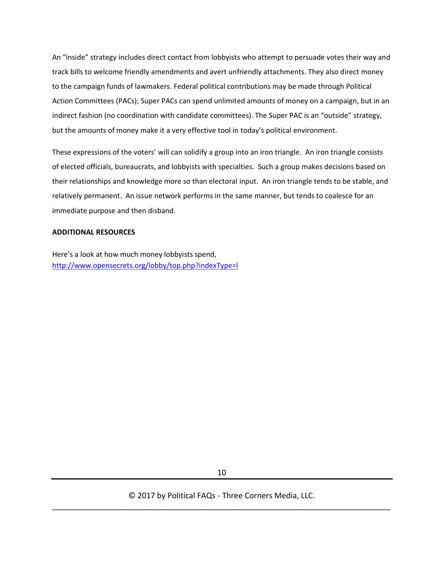An "inside" strategy includes direct contact from lobbyists who attempt to persuade votes their way and track bills to welcome friendly amendments and avert unfriendly attachments. They also direct money to the campaign funds of lawmakers. Federal political contributions may be made through Political Action Committees (PACs); Super PACs can spend unlimited amounts of money on a campaign, but in an indirect fashion (no coordination with candidate committees). The Super PAC is an "outside" strategy, but the amounts of money make it a very effective tool in today's political environment.

These expressions of the voters' will can solidify a group into an iron triangle. An iron triangle consists of elected officials, bureaucrats, and lobbyists with specialties. Such a group makes decisions based on their relationships and knowledge more so than electoral input. An iron triangle tends to be stable, and relatively permanent. An issue network performs in the same manner, but tends to coalesce for an immediate purpose and then disband.

#### **ADDITIONAL RESOURCES**

Here's a look at how much money lobbyists spend, <http://www.opensecrets.org/lobby/top.php?indexType=l>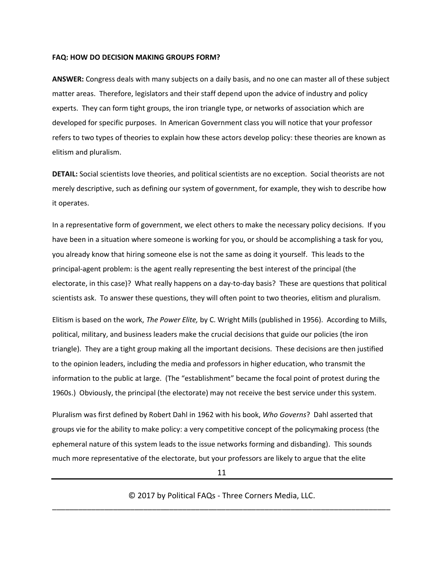#### **FAQ: HOW DO DECISION MAKING GROUPS FORM?**

**ANSWER:** Congress deals with many subjects on a daily basis, and no one can master all of these subject matter areas. Therefore, legislators and their staff depend upon the advice of industry and policy experts. They can form tight groups, the iron triangle type, or networks of association which are developed for specific purposes. In American Government class you will notice that your professor refers to two types of theories to explain how these actors develop policy: these theories are known as elitism and pluralism.

**DETAIL:** Social scientists love theories, and political scientists are no exception. Social theorists are not merely descriptive, such as defining our system of government, for example, they wish to describe how it operates.

In a representative form of government, we elect others to make the necessary policy decisions. If you have been in a situation where someone is working for you, or should be accomplishing a task for you, you already know that hiring someone else is not the same as doing it yourself. This leads to the principal-agent problem: is the agent really representing the best interest of the principal (the electorate, in this case)? What really happens on a day-to-day basis? These are questions that political scientists ask. To answer these questions, they will often point to two theories, elitism and pluralism.

Elitism is based on the work, *The Power Elite,* by C. Wright Mills (published in 1956). According to Mills, political, military, and business leaders make the crucial decisions that guide our policies (the iron triangle). They are a tight group making all the important decisions. These decisions are then justified to the opinion leaders, including the media and professors in higher education, who transmit the information to the public at large. (The "establishment" became the focal point of protest during the 1960s.) Obviously, the principal (the electorate) may not receive the best service under this system.

Pluralism was first defined by Robert Dahl in 1962 with his book, *Who Governs*? Dahl asserted that groups vie for the ability to make policy: a very competitive concept of the policymaking process (the ephemeral nature of this system leads to the issue networks forming and disbanding). This sounds much more representative of the electorate, but your professors are likely to argue that the elite

11